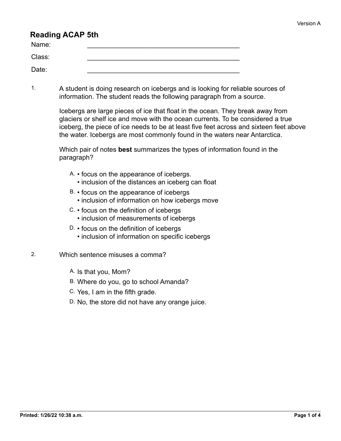## **Reading ACAP 5th**

| Name:  |  |
|--------|--|
| Class: |  |
| Date:  |  |

1. A student is doing research on icebergs and is looking for reliable sources of information. The student reads the following paragraph from a source.

> Icebergs are large pieces of ice that float in the ocean. They break away from glaciers or shelf ice and move with the ocean currents. To be considered a true iceberg, the piece of ice needs to be at least five feet across and sixteen feet above the water. Icebergs are most commonly found in the waters near Antarctica.

Which pair of notes **best** summarizes the types of information found in the paragraph?

- A. focus on the appearance of icebergs.
	- inclusion of the distances an iceberg can float
- B. focus on the appearance of icebergs • inclusion of information on how icebergs move
- C. focus on the definition of icebergs
	- inclusion of measurements of icebergs
- D. focus on the definition of icebergs
	- inclusion of information on specific icebergs
- 2. Which sentence misuses a comma?
	- A. Is that you, Mom?
	- B. Where do you, go to school Amanda?
	- C. Yes, I am in the fifth grade.
	- D. No, the store did not have any orange juice.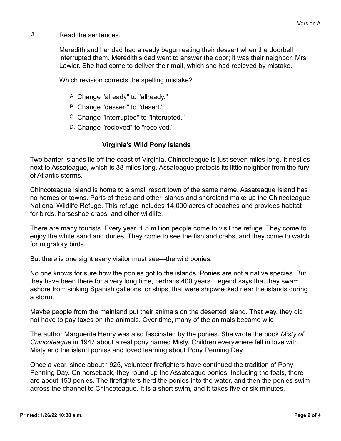3. Read the sentences.

Meredith and her dad had already begun eating their dessert when the doorbell interrupted them. Meredith's dad went to answer the door; it was their neighbor, Mrs. Lawlor. She had come to deliver their mail, which she had recieved by mistake.

Which revision corrects the spelling mistake?

- A. Change "already" to "allready."
- B. Change "dessert" to "desert."
- C. Change "interrupted" to "interupted."
- D. Change "recieved" to "received."

## **Virginia's Wild Pony Islands**

Two barrier islands lie off the coast of Virginia. Chincoteague is just seven miles long. It nestles next to Assateague, which is 38 miles long. Assateague protects its little neighbor from the fury of Atlantic storms.

Chincoteague Island is home to a small resort town of the same name. Assateague Island has no homes or towns. Parts of these and other islands and shoreland make up the Chincoteague National Wildlife Refuge. This refuge includes 14,000 acres of beaches and provides habitat for birds, horseshoe crabs, and other wildlife.

There are many tourists. Every year, 1.5 million people come to visit the refuge. They come to enjoy the white sand and dunes. They come to see the fish and crabs, and they come to watch for migratory birds.

But there is one sight every visitor must see—the wild ponies.

No one knows for sure how the ponies got to the islands. Ponies are not a native species. But they have been there for a very long time, perhaps 400 years. Legend says that they swam ashore from sinking Spanish galleons, or ships, that were shipwrecked near the islands during a storm.

Maybe people from the mainland put their animals on the deserted island. That way, they did not have to pay taxes on the animals. Over time, many of the animals became wild.

The author Marguerite Henry was also fascinated by the ponies. She wrote the book *Misty of Chincoteague* in 1947 about a real pony named Misty. Children everywhere fell in love with Misty and the island ponies and loved learning about Pony Penning Day.

Once a year, since about 1925, volunteer firefighters have continued the tradition of Pony Penning Day. On horseback, they round up the Assateague ponies. Including the foals, there are about 150 ponies. The firefighters herd the ponies into the water, and then the ponies swim across the channel to Chincoteague. It is a short swim, and it takes five or six minutes.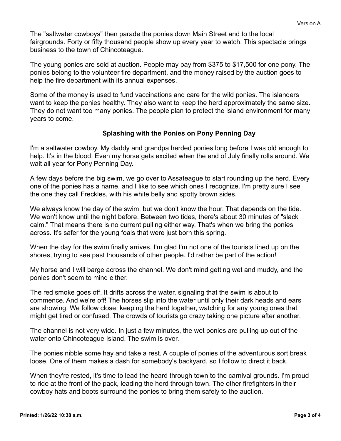The "saltwater cowboys" then parade the ponies down Main Street and to the local fairgrounds. Forty or fifty thousand people show up every year to watch. This spectacle brings business to the town of Chincoteague.

The young ponies are sold at auction. People may pay from \$375 to \$17,500 for one pony. The ponies belong to the volunteer fire department, and the money raised by the auction goes to help the fire department with its annual expenses.

Some of the money is used to fund vaccinations and care for the wild ponies. The islanders want to keep the ponies healthy. They also want to keep the herd approximately the same size. They do not want too many ponies. The people plan to protect the island environment for many years to come.

## **Splashing with the Ponies on Pony Penning Day**

I'm a saltwater cowboy. My daddy and grandpa herded ponies long before I was old enough to help. It's in the blood. Even my horse gets excited when the end of July finally rolls around. We wait all year for Pony Penning Day.

A few days before the big swim, we go over to Assateague to start rounding up the herd. Every one of the ponies has a name, and I like to see which ones I recognize. I'm pretty sure I see the one they call Freckles, with his white belly and spotty brown sides.

We always know the day of the swim, but we don't know the hour. That depends on the tide. We won't know until the night before. Between two tides, there's about 30 minutes of "slack calm." That means there is no current pulling either way. That's when we bring the ponies across. It's safer for the young foals that were just born this spring.

When the day for the swim finally arrives, I'm glad I'm not one of the tourists lined up on the shores, trying to see past thousands of other people. I'd rather be part of the action!

My horse and I will barge across the channel. We don't mind getting wet and muddy, and the ponies don't seem to mind either.

The red smoke goes off. It drifts across the water, signaling that the swim is about to commence. And we're off! The horses slip into the water until only their dark heads and ears are showing. We follow close, keeping the herd together, watching for any young ones that might get tired or confused. The crowds of tourists go crazy taking one picture after another.

The channel is not very wide. In just a few minutes, the wet ponies are pulling up out of the water onto Chincoteague Island. The swim is over.

The ponies nibble some hay and take a rest. A couple of ponies of the adventurous sort break loose. One of them makes a dash for somebody's backyard, so I follow to direct it back.

When they're rested, it's time to lead the heard through town to the carnival grounds. I'm proud to ride at the front of the pack, leading the herd through town. The other firefighters in their cowboy hats and boots surround the ponies to bring them safely to the auction.